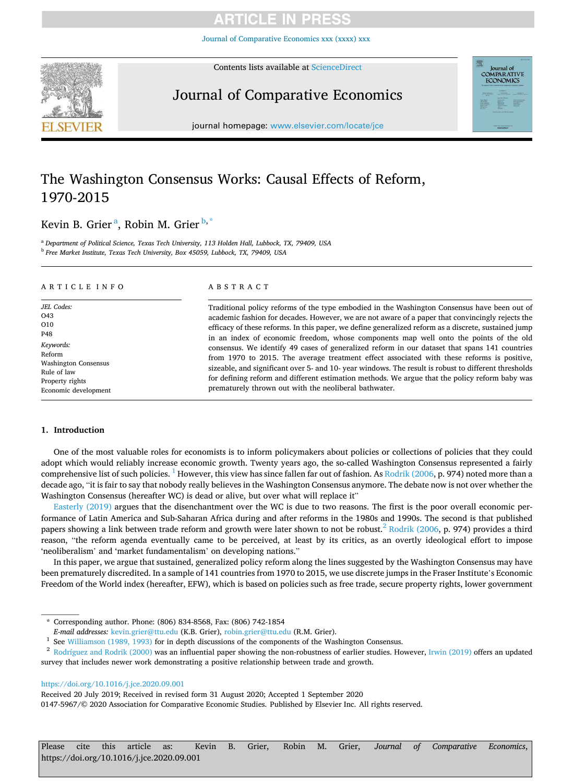Journal of Comparative [Ec](https://doi.org/10.1016/j.jce.2020.09.001)onomics xxx (xxxx) xxx



Contents lists available at [ScienceDirect](www.sciencedirect.com/science/journal/01475967)

# Journal of Comparative Economics



journal homepage: [www.elsevier.com/locate/jce](https://www.elsevier.com/locate/jce)

# The Washington Consensus Works: Causal Effects of Reform, 1970-2015

Kevin B. Grier<sup>a</sup>, Robin M. Grier<sup>b,\*</sup>

<sup>a</sup> *Department of Political Science, Texas Tech University, 113 Holden Hall, Lubbock, TX, 79409, USA*  b *Free Market Institute, Texas Tech University, Box 45059, Lubbock, TX, 79409, USA* 

### A R T I C L E I N F O

*JEL Codes:*  O43  $010$ P48 *Keywords:*  Reform Washington Consensus Rule of law Property rights Economic development

#### ABSTRACT

Traditional policy reforms of the type embodied in the Washington Consensus have been out of academic fashion for decades. However, we are not aware of a paper that convincingly rejects the efficacy of these reforms. In this paper, we define generalized reform as a discrete, sustained jump in an index of economic freedom, whose components map well onto the points of the old consensus. We identify 49 cases of generalized reform in our dataset that spans 141 countries from 1970 to 2015. The average treatment effect associated with these reforms is positive, sizeable, and significant over 5- and 10- year windows. The result is robust to different thresholds for defining reform and different estimation methods. We argue that the policy reform baby was prematurely thrown out with the neoliberal bathwater.

#### **1. Introduction**

One of the most valuable roles for economists is to inform policymakers about policies or collections of policies that they could adopt which would reliably increase economic growth. Twenty years ago, the so-called Washington Consensus represented a fairly comprehensive list of such policies.  $\frac{1}{2}$  However, this view has since fallen far out of fashion. As [Rodrik \(2006](#page-13-0), p. 974) noted more than a decade ago, "it is fair to say that nobody really believes in the Washington Consensus anymore. The debate now is not over whether the Washington Consensus (hereafter WC) is dead or alive, but over what will replace it"

[Easterly \(2019\)](#page-13-0) argues that the disenchantment over the WC is due to two reasons. The first is the poor overall economic performance of Latin America and Sub-Saharan Africa during and after reforms in the 1980s and 1990s. The second is that published papers showing a link between trade reform and growth were later shown to not be robust.<sup>2</sup> [Rodrik \(2006](#page-13-0), p. 974) provides a third reason, "the reform agenda eventually came to be perceived, at least by its critics, as an overtly ideological effort to impose 'neoliberalism' and 'market fundamentalism' on developing nations."

In this paper, we argue that sustained, generalized policy reform along the lines suggested by the Washington Consensus may have been prematurely discredited. In a sample of 141 countries from 1970 to 2015, we use discrete jumps in the Fraser Institute's Economic Freedom of the World index (hereafter, EFW), which is based on policies such as free trade, secure property rights, lower government

<https://doi.org/10.1016/j.jce.2020.09.001>

Received 20 July 2019; Received in revised form 31 August 2020; Accepted 1 September 2020

0147-5967/© 2020 Association for Comparative Economic Studies. Published by Elsevier Inc. All rights reserved.

<sup>\*</sup> Corresponding author. Phone: (806) 834-8568, Fax: (806) 742-1854

*E-mail addresses:* [kevin.grier@ttu.edu](mailto:kevin.grier@ttu.edu) (K.B. Grier), [robin.grier@ttu.edu](mailto:robin.grier@ttu.edu) (R.M. Grier).

See [Williamson \(1989, 1993\)](#page-13-0) for in depth discussions of the components of the Washington Consensus.

<sup>2</sup>[Rodríguez and Rodrik \(2000\)](#page-13-0) was an influential paper showing the non-robustness of earlier studies. However, [Irwin \(2019\)](#page-13-0) offers an updated survey that includes newer work demonstrating a positive relationship between trade and growth.

Please cite this article as: Kevin B. Grier, Robin M. Grier, *Journal of Comparative Economics*, https://doi.org/10.1016/j.jce.2020.09.001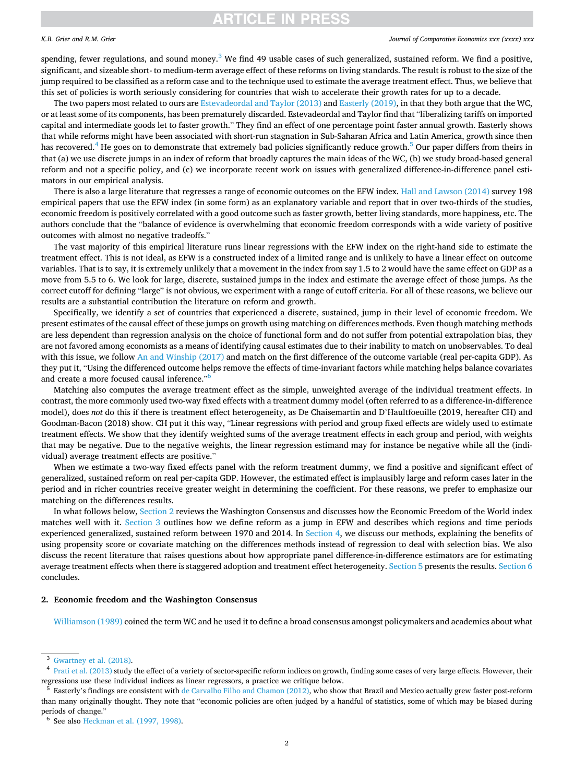#### *K.B. Grier and R.M. Grier*

#### *Journal of Comparative Economics xxx (xxxx) xxx*

spending, fewer regulations, and sound money.<sup>3</sup> We find 49 usable cases of such generalized, sustained reform. We find a positive, significant, and sizeable short- to medium-term average effect of these reforms on living standards. The result is robust to the size of the jump required to be classified as a reform case and to the technique used to estimate the average treatment effect. Thus, we believe that this set of policies is worth seriously considering for countries that wish to accelerate their growth rates for up to a decade.

The two papers most related to ours are [Estevadeordal and Taylor \(2013\)](#page-13-0) and [Easterly \(2019\)](#page-13-0), in that they both argue that the WC, or at least some of its components, has been prematurely discarded. Estevadeordal and Taylor find that "liberalizing tariffs on imported capital and intermediate goods let to faster growth." They find an effect of one percentage point faster annual growth. Easterly shows that while reforms might have been associated with short-run stagnation in Sub-Saharan Africa and Latin America, growth since then has recovered.<sup>4</sup> He goes on to demonstrate that extremely bad policies significantly reduce growth.<sup>5</sup> Our paper differs from theirs in that (a) we use discrete jumps in an index of reform that broadly captures the main ideas of the WC, (b) we study broad-based general reform and not a specific policy, and (c) we incorporate recent work on issues with generalized difference-in-difference panel estimators in our empirical analysis.

There is also a large literature that regresses a range of economic outcomes on the EFW index. [Hall and Lawson \(2014\)](#page-13-0) survey 198 empirical papers that use the EFW index (in some form) as an explanatory variable and report that in over two-thirds of the studies, economic freedom is positively correlated with a good outcome such as faster growth, better living standards, more happiness, etc. The authors conclude that the "balance of evidence is overwhelming that economic freedom corresponds with a wide variety of positive outcomes with almost no negative tradeoffs."

The vast majority of this empirical literature runs linear regressions with the EFW index on the right-hand side to estimate the treatment effect. This is not ideal, as EFW is a constructed index of a limited range and is unlikely to have a linear effect on outcome variables. That is to say, it is extremely unlikely that a movement in the index from say 1.5 to 2 would have the same effect on GDP as a move from 5.5 to 6. We look for large, discrete, sustained jumps in the index and estimate the average effect of those jumps. As the correct cutoff for defining "large" is not obvious, we experiment with a range of cutoff criteria. For all of these reasons, we believe our results are a substantial contribution the literature on reform and growth.

Specifically, we identify a set of countries that experienced a discrete, sustained, jump in their level of economic freedom. We present estimates of the causal effect of these jumps on growth using matching on differences methods. Even though matching methods are less dependent than regression analysis on the choice of functional form and do not suffer from potential extrapolation bias, they are not favored among economists as a means of identifying causal estimates due to their inability to match on unobservables. To deal with this issue, we follow [An and Winship \(2017\)](#page-12-0) and match on the first difference of the outcome variable (real per-capita GDP). As they put it, "Using the differenced outcome helps remove the effects of time-invariant factors while matching helps balance covariates and create a more focused causal inference."<sup>6</sup>

Matching also computes the average treatment effect as the simple, unweighted average of the individual treatment effects. In contrast, the more commonly used two-way fixed effects with a treatment dummy model (often referred to as a difference-in-difference model), does *not* do this if there is treatment effect heterogeneity, as De Chaisemartin and D'Haultfoeuille (2019, hereafter CH) and Goodman-Bacon (2018) show. CH put it this way, "Linear regressions with period and group fixed effects are widely used to estimate treatment effects. We show that they identify weighted sums of the average treatment effects in each group and period, with weights that may be negative. Due to the negative weights, the linear regression estimand may for instance be negative while all the (individual) average treatment effects are positive."

When we estimate a two-way fixed effects panel with the reform treatment dummy, we find a positive and significant effect of generalized, sustained reform on real per-capita GDP. However, the estimated effect is implausibly large and reform cases later in the period and in richer countries receive greater weight in determining the coefficient. For these reasons, we prefer to emphasize our matching on the differences results.

In what follows below, Section 2 reviews the Washington Consensus and discusses how the Economic Freedom of the World index matches well with it. [Section 3](#page-2-0) outlines how we define reform as a jump in EFW and describes which regions and time periods experienced generalized, sustained reform between 1970 and 2014. In [Section 4,](#page-3-0) we discuss our methods, explaining the benefits of using propensity score or covariate matching on the differences methods instead of regression to deal with selection bias. We also discuss the recent literature that raises questions about how appropriate panel difference-in-difference estimators are for estimating average treatment effects when there is staggered adoption and treatment effect heterogeneity. [Section 5](#page-5-0) presents the results. [Section 6](#page-10-0) concludes.

#### **2. Economic freedom and the Washington Consensus**

[Williamson \(1989\)](#page-13-0) coined the term WC and he used it to define a broad consensus amongst policymakers and academics about what

 $3$  [Gwartney et al. \(2018\)](#page-13-0).

<sup>&</sup>lt;sup>4</sup> [Prati et al. \(2013\)](#page-13-0) study the effect of a variety of sector-specific reform indices on growth, finding some cases of very large effects. However, their regressions use these individual indices as linear regressors, a practice we critique below.

 $5$  Easterly's findings are consistent with [de Carvalho Filho and Chamon \(2012\)](#page-13-0), who show that Brazil and Mexico actually grew faster post-reform than many originally thought. They note that "economic policies are often judged by a handful of statistics, some of which may be biased during periods of change."

 $6$  See also [Heckman et al. \(1997, 1998\).](#page-13-0)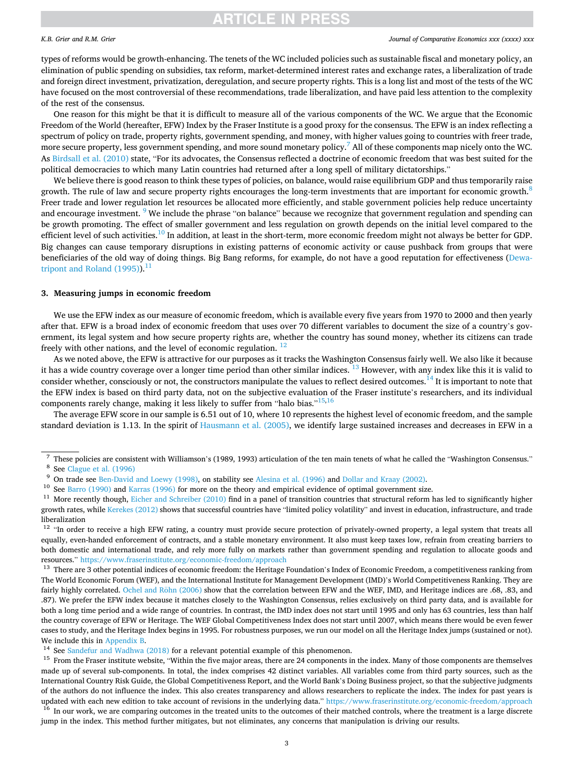#### <span id="page-2-0"></span>*K.B. Grier and R.M. Grier*

#### *Journal of Comparative Economics xxx (xxxx) xxx*

types of reforms would be growth-enhancing. The tenets of the WC included policies such as sustainable fiscal and monetary policy, an elimination of public spending on subsidies, tax reform, market-determined interest rates and exchange rates, a liberalization of trade and foreign direct investment, privatization, deregulation, and secure property rights. This is a long list and most of the tests of the WC have focused on the most controversial of these recommendations, trade liberalization, and have paid less attention to the complexity of the rest of the consensus.

One reason for this might be that it is difficult to measure all of the various components of the WC. We argue that the Economic Freedom of the World (hereafter, EFW) Index by the Fraser Institute is a good proxy for the consensus. The EFW is an index reflecting a spectrum of policy on trade, property rights, government spending, and money, with higher values going to countries with freer trade, more secure property, less government spending, and more sound monetary policy.<sup>7</sup> All of these components map nicely onto the WC. As [Birdsall et al. \(2010\)](#page-12-0) state, "For its advocates, the Consensus reflected a doctrine of economic freedom that was best suited for the political democracies to which many Latin countries had returned after a long spell of military dictatorships."

We believe there is good reason to think these types of policies, on balance, would raise equilibrium GDP and thus temporarily raise growth. The rule of law and secure property rights encourages the long-term investments that are important for economic growth.<sup>8</sup> Freer trade and lower regulation let resources be allocated more efficiently, and stable government policies help reduce uncertainty and encourage investment. <sup>9</sup> We include the phrase "on balance" because we recognize that government regulation and spending can be growth promoting. The effect of smaller government and less regulation on growth depends on the initial level compared to the efficient level of such activities.<sup>10</sup> In addition, at least in the short-term, more economic freedom might not always be better for GDP. Big changes can cause temporary disruptions in existing patterns of economic activity or cause pushback from groups that were beneficiaries of the old way of doing things. Big Bang reforms, for example, do not have a good reputation for effectiveness ([Dewa](#page-13-0)tripont and Roland  $(1995)$ ).<sup>11</sup>

### **3. Measuring jumps in economic freedom**

We use the EFW index as our measure of economic freedom, which is available every five years from 1970 to 2000 and then yearly after that. EFW is a broad index of economic freedom that uses over 70 different variables to document the size of a country's government, its legal system and how secure property rights are, whether the country has sound money, whether its citizens can trade freely with other nations, and the level of economic regulation.<sup>12</sup>

As we noted above, the EFW is attractive for our purposes as it tracks the Washington Consensus fairly well. We also like it because it has a wide country coverage over a longer time period than other similar indices. <sup>13</sup> However, with any index like this it is valid to consider whether, consciously or not, the constructors manipulate the values to reflect desired outcomes.<sup>14</sup> It is important to note that the EFW index is based on third party data, not on the subjective evaluation of the Fraser institute's researchers, and its individual components rarely change, making it less likely to suffer from "halo bias."<sup>15,16</sup>

The average EFW score in our sample is 6.51 out of 10, where 10 represents the highest level of economic freedom, and the sample standard deviation is 1.13. In the spirit of [Hausmann et al. \(2005\)](#page-13-0), we identify large sustained increases and decreases in EFW in a

 $14$  See [Sandefur and Wadhwa \(2018\)](#page-13-0) for a relevant potential example of this phenomenon.

<sup>7</sup>These policies are consistent with Williamson's (1989, 1993) articulation of the ten main tenets of what he called the "Washington Consensus." <sup>8</sup> See [Clague et al. \(1996\)](#page-13-0)

<sup>&</sup>lt;sup>9</sup> On trade see [Ben-David and Loewy \(1998\),](#page-12-0) on stability see [Alesina et al. \(1996\)](#page-12-0) and [Dollar and Kraay \(2002\).](#page-13-0)

<sup>&</sup>lt;sup>10</sup> See [Barro \(1990\)](#page-12-0) and [Karras \(1996\)](#page-13-0) for more on the theory and empirical evidence of optimal government size.

 $11$  More recently though, [Eicher and Schreiber \(2010\)](#page-13-0) find in a panel of transition countries that structural reform has led to significantly higher growth rates, while [Kerekes \(2012\)](#page-13-0) shows that successful countries have "limited policy volatility" and invest in education, infrastructure, and trade liberalization

<sup>&</sup>lt;sup>12</sup> "In order to receive a high EFW rating, a country must provide secure protection of privately-owned property, a legal system that treats all equally, even-handed enforcement of contracts, and a stable monetary environment. It also must keep taxes low, refrain from creating barriers to both domestic and international trade, and rely more fully on markets rather than government spending and regulation to allocate goods and resources." <https://www.fraserinstitute.org/economic-freedom/approach>

 $^{13}\,$  There are 3 other potential indices of economic freedom: the Heritage Foundation's Index of Economic Freedom, a competitiveness ranking from The World Economic Forum (WEF), and the International Institute for Management Development (IMD)'s World Competitiveness Ranking. They are fairly highly correlated. Ochel and Röhn (2006) show that the correlation between EFW and the WEF, IMD, and Heritage indices are .68, .83, and .87). We prefer the EFW index because it matches closely to the Washington Consensus, relies exclusively on third party data, and is available for both a long time period and a wide range of countries. In contrast, the IMD index does not start until 1995 and only has 63 countries, less than half the country coverage of EFW or Heritage. The WEF Global Competitiveness Index does not start until 2007, which means there would be even fewer cases to study, and the Heritage Index begins in 1995. For robustness purposes, we run our model on all the Heritage Index jumps (sustained or not). We include this in [Appendix B](#page-12-0).

 $^{15}\,$  From the Fraser institute website, "Within the five major areas, there are 24 components in the index. Many of those components are themselves made up of several sub-components. In total, the index comprises 42 distinct variables. All variables come from third party sources, such as the International Country Risk Guide, the Global Competitiveness Report, and the World Bank's Doing Business project, so that the subjective judgments of the authors do not influence the index. This also creates transparency and allows researchers to replicate the index. The index for past years is updated with each new edition to take account of revisions in the underlying data." <https://www.fraserinstitute.org/economic-freedom/approach>

<sup>&</sup>lt;sup>16</sup> In our work, we are comparing outcomes in the treated units to the outcomes of their matched controls, where the treatment is a large discrete jump in the index. This method further mitigates, but not eliminates, any concerns that manipulation is driving our results.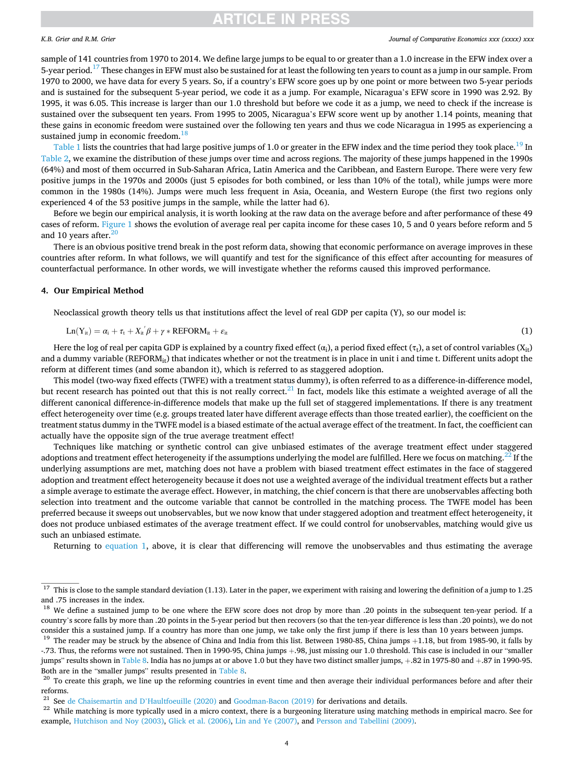#### <span id="page-3-0"></span>*K.B. Grier and R.M. Grier*

#### *Journal of Comparative Economics xxx (xxxx) xxx*

sample of 141 countries from 1970 to 2014. We define large jumps to be equal to or greater than a 1.0 increase in the EFW index over a 5-year period.<sup>17</sup> These changes in EFW must also be sustained for at least the following ten years to count as a jump in our sample. From 1970 to 2000, we have data for every 5 years. So, if a country's EFW score goes up by one point or more between two 5-year periods and is sustained for the subsequent 5-year period, we code it as a jump. For example, Nicaragua's EFW score in 1990 was 2.92. By 1995, it was 6.05. This increase is larger than our 1.0 threshold but before we code it as a jump, we need to check if the increase is sustained over the subsequent ten years. From 1995 to 2005, Nicaragua's EFW score went up by another 1.14 points, meaning that these gains in economic freedom were sustained over the following ten years and thus we code Nicaragua in 1995 as experiencing a sustained jump in economic freedom. $18$ 

[Table 1](#page-4-0) lists the countries that had large positive jumps of 1.0 or greater in the EFW index and the time period they took place.<sup>19</sup> In [Table 2](#page-4-0), we examine the distribution of these jumps over time and across regions. The majority of these jumps happened in the 1990s (64%) and most of them occurred in Sub-Saharan Africa, Latin America and the Caribbean, and Eastern Europe. There were very few positive jumps in the 1970s and 2000s (just 5 episodes for both combined, or less than 10% of the total), while jumps were more common in the 1980s (14%). Jumps were much less frequent in Asia, Oceania, and Western Europe (the first two regions only experienced 4 of the 53 positive jumps in the sample, while the latter had 6).

Before we begin our empirical analysis, it is worth looking at the raw data on the average before and after performance of these 49 cases of reform. [Figure 1](#page-5-0) shows the evolution of average real per capita income for these cases 10, 5 and 0 years before reform and 5 and 10 years after. $20$ 

There is an obvious positive trend break in the post reform data, showing that economic performance on average improves in these countries after reform. In what follows, we will quantify and test for the significance of this effect after accounting for measures of counterfactual performance. In other words, we will investigate whether the reforms caused this improved performance.

#### **4. Our Empirical Method**

Neoclassical growth theory tells us that institutions affect the level of real GDP per capita (Y), so our model is:

$$
Ln(Y_{it}) = \alpha_i + \tau_t + X_{it}^{'} \beta + \gamma * REFORM_{it} + \varepsilon_{it}
$$
\n(1)

Here the log of real per capita GDP is explained by a country fixed effect ( $\alpha_i$ ), a period fixed effect ( $\tau_t$ ), a set of control variables ( $X_{it}$ ) and a dummy variable ( $REFORM_{it}$ ) that indicates whether or not the treatment is in place in unit i and time t. Different units adopt the reform at different times (and some abandon it), which is referred to as staggered adoption.

This model (two-way fixed effects (TWFE) with a treatment status dummy), is often referred to as a difference-in-difference model, but recent research has pointed out that this is not really correct.<sup>21</sup> In fact, models like this estimate a weighted average of all the different canonical difference-in-difference models that make up the full set of staggered implementations. If there is any treatment effect heterogeneity over time (e.g. groups treated later have different average effects than those treated earlier), the coefficient on the treatment status dummy in the TWFE model is a biased estimate of the actual average effect of the treatment. In fact, the coefficient can actually have the opposite sign of the true average treatment effect!

Techniques like matching or synthetic control can give unbiased estimates of the average treatment effect under staggered adoptions and treatment effect heterogeneity if the assumptions underlying the model are fulfilled. Here we focus on matching.<sup>22</sup> If the underlying assumptions are met, matching does not have a problem with biased treatment effect estimates in the face of staggered adoption and treatment effect heterogeneity because it does not use a weighted average of the individual treatment effects but a rather a simple average to estimate the average effect. However, in matching, the chief concern is that there are unobservables affecting both selection into treatment and the outcome variable that cannot be controlled in the matching process. The TWFE model has been preferred because it sweeps out unobservables, but we now know that under staggered adoption and treatment effect heterogeneity, it does not produce unbiased estimates of the average treatment effect. If we could control for unobservables, matching would give us such an unbiased estimate.

Returning to equation 1, above, it is clear that differencing will remove the unobservables and thus estimating the average

 $\frac{17}{17}$  This is close to the sample standard deviation (1.13). Later in the paper, we experiment with raising and lowering the definition of a jump to 1.25 and .75 increases in the index.

<sup>&</sup>lt;sup>18</sup> We define a sustained jump to be one where the EFW score does not drop by more than .20 points in the subsequent ten-year period. If a country's score falls by more than .20 points in the 5-year period but then recovers (so that the ten-year difference is less than .20 points), we do not consider this a sustained jump. If a country has more than one jump, we take only the first jump if there is less than 10 years between jumps.

 $19$  The reader may be struck by the absence of China and India from this list. Between 1980-85, China jumps  $+1.18$ , but from 1985-90, it falls by -.73. Thus, the reforms were not sustained. Then in 1990-95, China jumps +.98, just missing our 1.0 threshold. This case is included in our "smaller jumps" results shown in [Table 8](#page-9-0). India has no jumps at or above 1.0 but they have two distinct smaller jumps, +.82 in 1975-80 and +.87 in 1990-95. Both are in the "smaller jumps" results presented in [Table 8.](#page-9-0)

<sup>&</sup>lt;sup>20</sup> To create this graph, we line up the reforming countries in event time and then average their individual performances before and after their reforms.

 $21$  See [de Chaisemartin and D](#page-13-0)'Haultfoeuille (2020) and [Goodman-Bacon \(2019\)](#page-13-0) for derivations and details.

<sup>&</sup>lt;sup>22</sup> While matching is more typically used in a micro context, there is a burgeoning literature using matching methods in empirical macro. See for example, [Hutchison and Noy \(2003\),](#page-13-0) [Glick et al. \(2006\), Lin and Ye \(2007\),](#page-13-0) and [Persson and Tabellini \(2009\)](#page-13-0).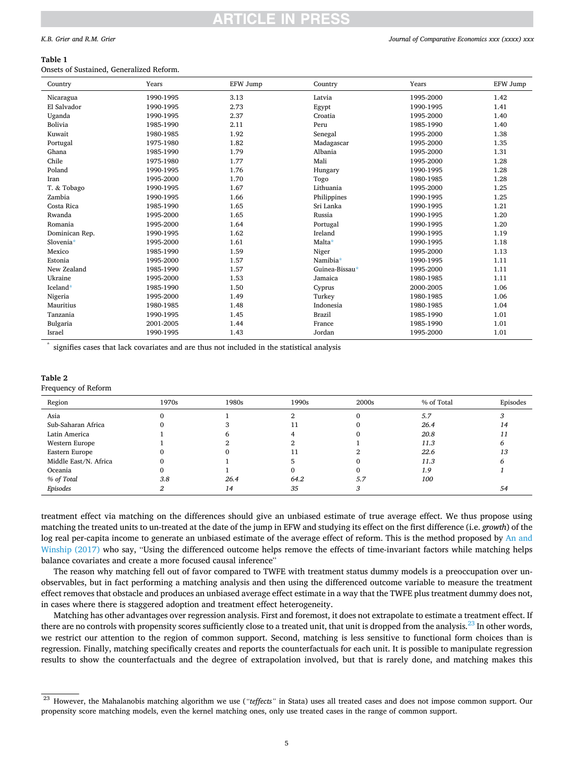#### <span id="page-4-0"></span>**Table 1**

Onsets of Sustained, Generalized Reform.

| Country        | Years     | EFW Jump | Country        | Years     | EFW Jump |
|----------------|-----------|----------|----------------|-----------|----------|
| Nicaragua      | 1990-1995 | 3.13     | Latvia         | 1995-2000 | 1.42     |
| El Salvador    | 1990-1995 | 2.73     | Egypt          | 1990-1995 | 1.41     |
| Uganda         | 1990-1995 | 2.37     | Croatia        | 1995-2000 | 1.40     |
| Bolivia        | 1985-1990 | 2.11     | Peru           | 1985-1990 | 1.40     |
| Kuwait         | 1980-1985 | 1.92     | Senegal        | 1995-2000 | 1.38     |
| Portugal       | 1975-1980 | 1.82     | Madagascar     | 1995-2000 | 1.35     |
| Ghana          | 1985-1990 | 1.79     | Albania        | 1995-2000 | 1.31     |
| Chile          | 1975-1980 | 1.77     | Mali           | 1995-2000 | 1.28     |
| Poland         | 1990-1995 | 1.76     | Hungary        | 1990-1995 | 1.28     |
| Iran           | 1995-2000 | 1.70     | Togo           | 1980-1985 | 1.28     |
| T. & Tobago    | 1990-1995 | 1.67     | Lithuania      | 1995-2000 | 1.25     |
| Zambia         | 1990-1995 | 1.66     | Philippines    | 1990-1995 | 1.25     |
| Costa Rica     | 1985-1990 | 1.65     | Sri Lanka      | 1990-1995 | 1.21     |
| Rwanda         | 1995-2000 | 1.65     | Russia         | 1990-1995 | 1.20     |
| Romania        | 1995-2000 | 1.64     | Portugal       | 1990-1995 | 1.20     |
| Dominican Rep. | 1990-1995 | 1.62     | Ireland        | 1990-1995 | 1.19     |
| Slovenia*      | 1995-2000 | 1.61     | Malta*         | 1990-1995 | 1.18     |
| Mexico         | 1985-1990 | 1.59     | Niger          | 1995-2000 | 1.13     |
| Estonia        | 1995-2000 | 1.57     | Namibia*       | 1990-1995 | 1.11     |
| New Zealand    | 1985-1990 | 1.57     | Guinea-Bissau* | 1995-2000 | 1.11     |
| Ukraine        | 1995-2000 | 1.53     | Jamaica        | 1980-1985 | 1.11     |
| Iceland*       | 1985-1990 | 1.50     | Cyprus         | 2000-2005 | 1.06     |
| Nigeria        | 1995-2000 | 1.49     | Turkey         | 1980-1985 | 1.06     |
| Mauritius      | 1980-1985 | 1.48     | Indonesia      | 1980-1985 | 1.04     |
| Tanzania       | 1990-1995 | 1.45     | <b>Brazil</b>  | 1985-1990 | 1.01     |
| Bulgaria       | 2001-2005 | 1.44     | France         | 1985-1990 | 1.01     |
| Israel         | 1990-1995 | 1.43     | Jordan         | 1995-2000 | 1.01     |

\* signifies cases that lack covariates and are thus not included in the statistical analysis

|--|--|

| Frequency of Reform |  |  |  |  |  |
|---------------------|--|--|--|--|--|
|---------------------|--|--|--|--|--|

| Region                | 1970s | 1980s | 1990s | 2000s | % of Total | Episodes |
|-----------------------|-------|-------|-------|-------|------------|----------|
| Asia                  |       |       |       |       | 5.7        |          |
| Sub-Saharan Africa    |       |       | 11    |       | 26.4       | 14       |
| Latin America         |       |       |       |       | 20.8       | 11       |
| Western Europe        |       |       |       |       | 11.3       |          |
| Eastern Europe        |       |       | 11    |       | 22.6       | 13       |
| Middle East/N. Africa |       |       |       |       | 11.3       |          |
| Oceania               |       |       |       |       | 1.9        |          |
| % of Total            | 3.8   | 26.4  | 64.2  | 5.7   | 100        |          |
| Episodes              |       | 14    | 35    |       |            | 54       |

treatment effect via matching on the differences should give an unbiased estimate of true average effect. We thus propose using matching the treated units to un-treated at the date of the jump in EFW and studying its effect on the first difference (i.e. *growth*) of the log real per-capita income to generate an unbiased estimate of the average effect of reform. This is the method proposed by [An and](#page-12-0) [Winship \(2017\)](#page-12-0) who say, "Using the differenced outcome helps remove the effects of time-invariant factors while matching helps balance covariates and create a more focused causal inference"

The reason why matching fell out of favor compared to TWFE with treatment status dummy models is a preoccupation over unobservables, but in fact performing a matching analysis and then using the differenced outcome variable to measure the treatment effect removes that obstacle and produces an unbiased average effect estimate in a way that the TWFE plus treatment dummy does not, in cases where there is staggered adoption and treatment effect heterogeneity.

Matching has other advantages over regression analysis. First and foremost, it does not extrapolate to estimate a treatment effect. If there are no controls with propensity scores sufficiently close to a treated unit, that unit is dropped from the analysis.<sup>23</sup> In other words, we restrict our attention to the region of common support. Second, matching is less sensitive to functional form choices than is regression. Finally, matching specifically creates and reports the counterfactuals for each unit. It is possible to manipulate regression results to show the counterfactuals and the degree of extrapolation involved, but that is rarely done, and matching makes this

<sup>23</sup>However, the Mahalanobis matching algorithm we use (*"teffects"* in Stata) uses all treated cases and does not impose common support. Our propensity score matching models, even the kernel matching ones, only use treated cases in the range of common support.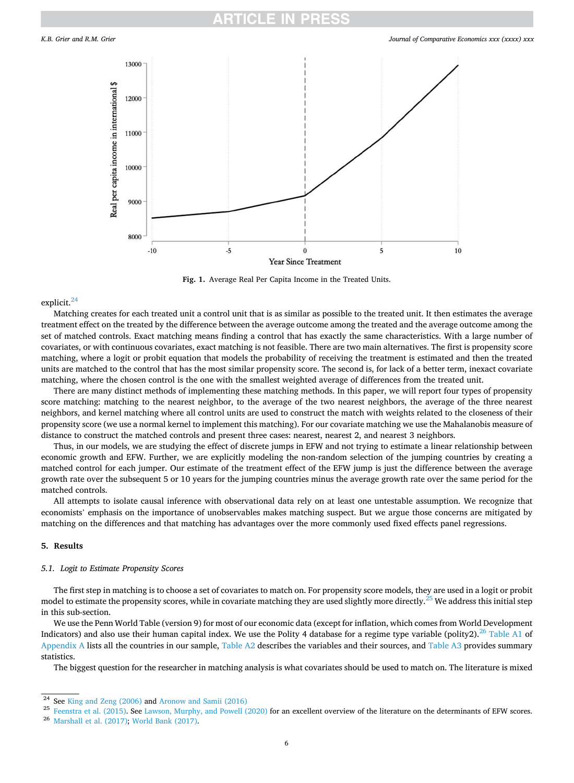<span id="page-5-0"></span>

**Fig. 1.** Average Real Per Capita Income in the Treated Units.

## explicit.<sup>24</sup>

Matching creates for each treated unit a control unit that is as similar as possible to the treated unit. It then estimates the average treatment effect on the treated by the difference between the average outcome among the treated and the average outcome among the set of matched controls. Exact matching means finding a control that has exactly the same characteristics. With a large number of covariates, or with continuous covariates, exact matching is not feasible. There are two main alternatives. The first is propensity score matching, where a logit or probit equation that models the probability of receiving the treatment is estimated and then the treated units are matched to the control that has the most similar propensity score. The second is, for lack of a better term, inexact covariate matching, where the chosen control is the one with the smallest weighted average of differences from the treated unit.

There are many distinct methods of implementing these matching methods. In this paper, we will report four types of propensity score matching: matching to the nearest neighbor, to the average of the two nearest neighbors, the average of the three nearest neighbors, and kernel matching where all control units are used to construct the match with weights related to the closeness of their propensity score (we use a normal kernel to implement this matching). For our covariate matching we use the Mahalanobis measure of distance to construct the matched controls and present three cases: nearest, nearest 2, and nearest 3 neighbors.

Thus, in our models, we are studying the effect of discrete jumps in EFW and not trying to estimate a linear relationship between economic growth and EFW. Further, we are explicitly modeling the non-random selection of the jumping countries by creating a matched control for each jumper. Our estimate of the treatment effect of the EFW jump is just the difference between the average growth rate over the subsequent 5 or 10 years for the jumping countries minus the average growth rate over the same period for the matched controls.

All attempts to isolate causal inference with observational data rely on at least one untestable assumption. We recognize that economists' emphasis on the importance of unobservables makes matching suspect. But we argue those concerns are mitigated by matching on the differences and that matching has advantages over the more commonly used fixed effects panel regressions.

### **5. Results**

#### *5.1. Logit to Estimate Propensity Scores*

The first step in matching is to choose a set of covariates to match on. For propensity score models, they are used in a logit or probit model to estimate the propensity scores, while in covariate matching they are used slightly more directly.<sup>25</sup> We address this initial step in this sub-section.

We use the Penn World Table (version 9) for most of our economic data (except for inflation, which comes from World Development Indicators) and also use their human capital index. We use the Polity 4 database for a regime type variable (polity2).<sup>26</sup> [Table A1](#page-10-0) of [Appendix A](#page-10-0) lists all the countries in our sample, [Table A2](#page-11-0) describes the variables and their sources, and [Table A3](#page-11-0) provides summary statistics.

The biggest question for the researcher in matching analysis is what covariates should be used to match on. The literature is mixed

 $\overline{a^24}$  See [King and Zeng \(2006\)](#page-13-0) and Aronow and Samii (2016)

<sup>&</sup>lt;sup>25</sup> [Feenstra et al. \(2015\).](#page-13-0) See [Lawson, Murphy, and Powell \(2020\)](#page-13-0) for an excellent overview of the literature on the determinants of EFW scores.

<sup>&</sup>lt;sup>26</sup> [Marshall et al. \(2017\); World Bank \(2017\)](#page-13-0).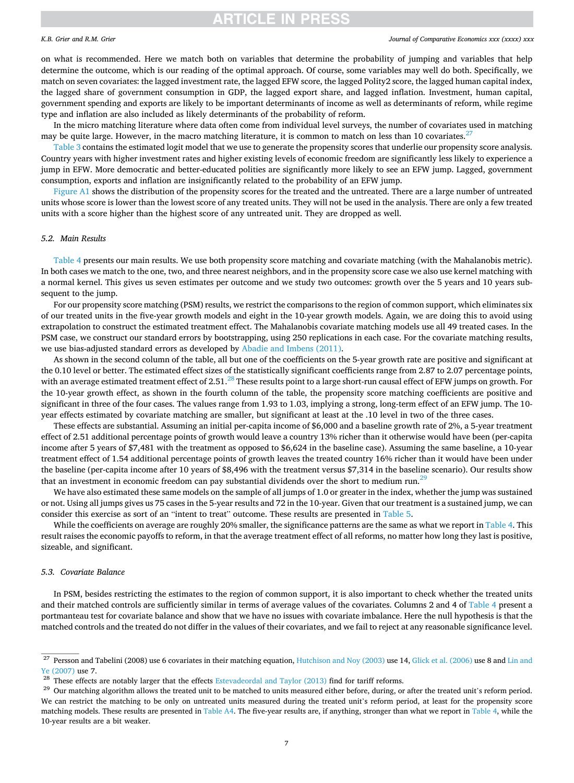#### *K.B. Grier and R.M. Grier*

#### *Journal of Comparative Economics xxx (xxxx) xxx*

on what is recommended. Here we match both on variables that determine the probability of jumping and variables that help determine the outcome, which is our reading of the optimal approach. Of course, some variables may well do both. Specifically, we match on seven covariates: the lagged investment rate, the lagged EFW score, the lagged Polity2 score, the lagged human capital index, the lagged share of government consumption in GDP, the lagged export share, and lagged inflation. Investment, human capital, government spending and exports are likely to be important determinants of income as well as determinants of reform, while regime type and inflation are also included as likely determinants of the probability of reform.

In the micro matching literature where data often come from individual level surveys, the number of covariates used in matching may be quite large. However, in the macro matching literature, it is common to match on less than 10 covariates.<sup>2</sup>

[Table 3](#page-7-0) contains the estimated logit model that we use to generate the propensity scores that underlie our propensity score analysis. Country years with higher investment rates and higher existing levels of economic freedom are significantly less likely to experience a jump in EFW. More democratic and better-educated polities are significantly more likely to see an EFW jump. Lagged, government consumption, exports and inflation are insignificantly related to the probability of an EFW jump.

[Figure A1](#page-11-0) shows the distribution of the propensity scores for the treated and the untreated. There are a large number of untreated units whose score is lower than the lowest score of any treated units. They will not be used in the analysis. There are only a few treated units with a score higher than the highest score of any untreated unit. They are dropped as well.

### *5.2. Main Results*

[Table 4](#page-7-0) presents our main results. We use both propensity score matching and covariate matching (with the Mahalanobis metric). In both cases we match to the one, two, and three nearest neighbors, and in the propensity score case we also use kernel matching with a normal kernel. This gives us seven estimates per outcome and we study two outcomes: growth over the 5 years and 10 years subsequent to the jump.

For our propensity score matching (PSM) results, we restrict the comparisons to the region of common support, which eliminates six of our treated units in the five-year growth models and eight in the 10-year growth models. Again, we are doing this to avoid using extrapolation to construct the estimated treatment effect. The Mahalanobis covariate matching models use all 49 treated cases. In the PSM case, we construct our standard errors by bootstrapping, using 250 replications in each case. For the covariate matching results, we use bias-adjusted standard errors as developed by [Abadie and Imbens \(2011\).](#page-12-0)

As shown in the second column of the table, all but one of the coefficients on the 5-year growth rate are positive and significant at the 0.10 level or better. The estimated effect sizes of the statistically significant coefficients range from 2.87 to 2.07 percentage points, with an average estimated treatment effect of 2.51.<sup>28</sup> These results point to a large short-run causal effect of EFW jumps on growth. For the 10-year growth effect, as shown in the fourth column of the table, the propensity score matching coefficients are positive and significant in three of the four cases. The values range from 1.93 to 1.03, implying a strong, long-term effect of an EFW jump. The 10 year effects estimated by covariate matching are smaller, but significant at least at the .10 level in two of the three cases.

These effects are substantial. Assuming an initial per-capita income of \$6,000 and a baseline growth rate of 2%, a 5-year treatment effect of 2.51 additional percentage points of growth would leave a country 13% richer than it otherwise would have been (per-capita income after 5 years of \$7,481 with the treatment as opposed to \$6,624 in the baseline case). Assuming the same baseline, a 10-year treatment effect of 1.54 additional percentage points of growth leaves the treated country 16% richer than it would have been under the baseline (per-capita income after 10 years of \$8,496 with the treatment versus \$7,314 in the baseline scenario). Our results show that an investment in economic freedom can pay substantial dividends over the short to medium run.<sup>29</sup>

We have also estimated these same models on the sample of all jumps of 1.0 or greater in the index, whether the jump was sustained or not. Using all jumps gives us 75 cases in the 5-year results and 72 in the 10-year. Given that our treatment is a sustained jump, we can consider this exercise as sort of an "intent to treat" outcome. These results are presented in [Table 5.](#page-8-0)

While the coefficients on average are roughly 20% smaller, the significance patterns are the same as what we report in [Table 4](#page-7-0). This result raises the economic payoffs to reform, in that the average treatment effect of all reforms, no matter how long they last is positive, sizeable, and significant.

#### *5.3. Covariate Balance*

In PSM, besides restricting the estimates to the region of common support, it is also important to check whether the treated units and their matched controls are sufficiently similar in terms of average values of the covariates. Columns 2 and 4 of [Table 4](#page-7-0) present a portmanteau test for covariate balance and show that we have no issues with covariate imbalance. Here the null hypothesis is that the matched controls and the treated do not differ in the values of their covariates, and we fail to reject at any reasonable significance level.

 $\frac{27}{27}$  Persson and Tabelini (2008) use 6 covariates in their matching equation, [Hutchison and Noy \(2003\)](#page-13-0) use 14, [Glick et al. \(2006\)](#page-13-0) use 8 and [Lin and](#page-13-0) [Ye \(2007\)](#page-13-0) use 7.

<sup>&</sup>lt;sup>28</sup> These effects are notably larger that the effects [Estevadeordal and Taylor \(2013\)](#page-13-0) find for tariff reforms.

<sup>&</sup>lt;sup>29</sup> Our matching algorithm allows the treated unit to be matched to units measured either before, during, or after the treated unit's reform period. We can restrict the matching to be only on untreated units measured during the treated unit's reform period, at least for the propensity score matching models. These results are presented in [Table A4.](#page-11-0) The five-year results are, if anything, stronger than what we report in [Table 4,](#page-7-0) while the 10-year results are a bit weaker.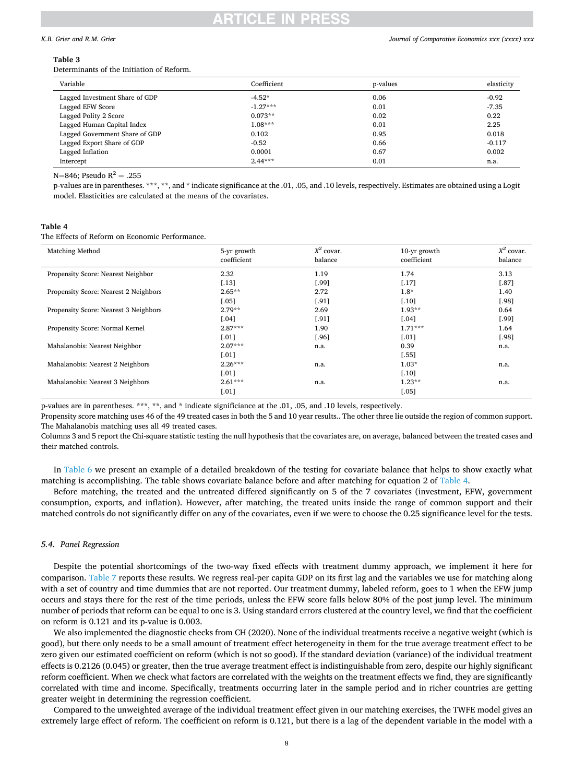#### <span id="page-7-0"></span>**Table 3**

Determinants of the Initiation of Reform.

| Variable                       | Coefficient | p-values | elasticity |
|--------------------------------|-------------|----------|------------|
| Lagged Investment Share of GDP | $-4.52*$    | 0.06     | $-0.92$    |
| Lagged EFW Score               | $-1.27***$  | 0.01     | $-7.35$    |
| Lagged Polity 2 Score          | $0.073**$   | 0.02     | 0.22       |
| Lagged Human Capital Index     | $1.08***$   | 0.01     | 2.25       |
| Lagged Government Share of GDP | 0.102       | 0.95     | 0.018      |
| Lagged Export Share of GDP     | $-0.52$     | 0.66     | $-0.117$   |
| Lagged Inflation               | 0.0001      | 0.67     | 0.002      |
| Intercept                      | $2.44***$   | 0.01     | n.a.       |

N=846; Pseudo  $R^2 = .255$ 

p-values are in parentheses. \*\*\*, \*\*, and \* indicate significance at the .01, .05, and .10 levels, respectively. Estimates are obtained using a Logit model. Elasticities are calculated at the means of the covariates.

#### **Table 4**

The Effects of Reform on Economic Performance.

p-values are in parentheses. \*\*\*, \*\*, and \* indicate significiance at the .01, .05, and .10 levels, respectively.

Propensity score matching uses 46 of the 49 treated cases in both the 5 and 10 year results.. The other three lie outside the region of common support. The Mahalanobis matching uses all 49 treated cases.

Columns 3 and 5 report the Chi-square statistic testing the null hypothesis that the covariates are, on average, balanced between the treated cases and their matched controls.

In [Table 6](#page-8-0) we present an example of a detailed breakdown of the testing for covariate balance that helps to show exactly what matching is accomplishing. The table shows covariate balance before and after matching for equation 2 of Table 4.

Before matching, the treated and the untreated differed significantly on 5 of the 7 covariates (investment, EFW, government consumption, exports, and inflation). However, after matching, the treated units inside the range of common support and their matched controls do not significantly differ on any of the covariates, even if we were to choose the 0.25 significance level for the tests.

#### *5.4. Panel Regression*

Despite the potential shortcomings of the two-way fixed effects with treatment dummy approach, we implement it here for comparison. [Table 7](#page-9-0) reports these results. We regress real-per capita GDP on its first lag and the variables we use for matching along with a set of country and time dummies that are not reported. Our treatment dummy, labeled reform, goes to 1 when the EFW jump occurs and stays there for the rest of the time periods, unless the EFW score falls below 80% of the post jump level. The minimum number of periods that reform can be equal to one is 3. Using standard errors clustered at the country level, we find that the coefficient on reform is 0.121 and its p-value is 0.003.

We also implemented the diagnostic checks from CH (2020). None of the individual treatments receive a negative weight (which is good), but there only needs to be a small amount of treatment effect heterogeneity in them for the true average treatment effect to be zero given our estimated coefficient on reform (which is not so good). If the standard deviation (variance) of the individual treatment effects is 0.2126 (0.045) or greater, then the true average treatment effect is indistinguishable from zero, despite our highly significant reform coefficient. When we check what factors are correlated with the weights on the treatment effects we find, they are significantly correlated with time and income. Specifically, treatments occurring later in the sample period and in richer countries are getting greater weight in determining the regression coefficient.

Compared to the unweighted average of the individual treatment effect given in our matching exercises, the TWFE model gives an extremely large effect of reform. The coefficient on reform is 0.121, but there is a lag of the dependent variable in the model with a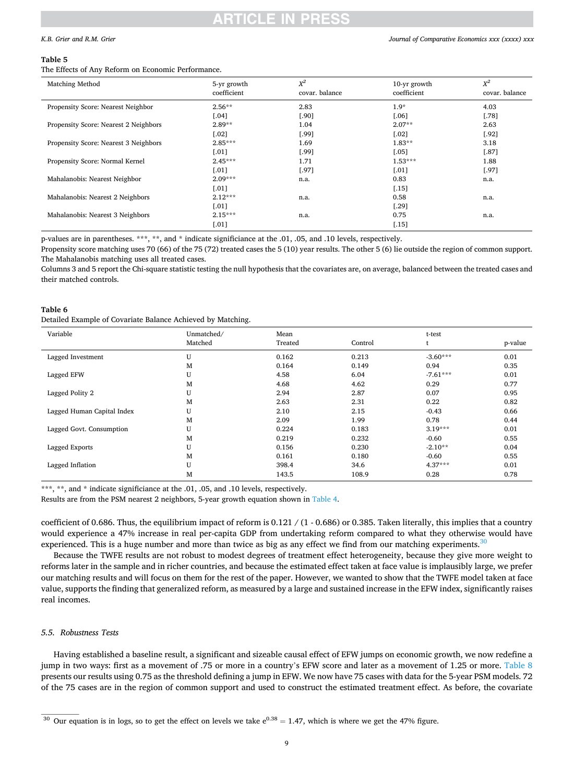#### *Journal of Comparative Economics xxx (xxxx) xxx*

#### <span id="page-8-0"></span>**Table 5**

The Effects of Any Reform on Economic Performance.

| Matching Method                       | 5-yr growth<br>coefficient | $X^2$<br>covar. balance | 10-yr growth<br>coefficient | $X^2$<br>covar. balance |
|---------------------------------------|----------------------------|-------------------------|-----------------------------|-------------------------|
| Propensity Score: Nearest Neighbor    | $2.56**$                   | 2.83                    | $1.9*$                      | 4.03                    |
|                                       | [.04]                      | [.90]                   | $[0.06]$                    | $[.78]$                 |
| Propensity Score: Nearest 2 Neighbors | $2.89**$                   | 1.04                    | $2.07**$                    | 2.63                    |
|                                       | [.02]                      | [.99]                   | [.02]                       | $[.92]$                 |
| Propensity Score: Nearest 3 Neighbors | $2.85***$                  | 1.69                    | $1.83**$                    | 3.18                    |
|                                       | [.01]                      | [.99]                   | [.05]                       | $[.87]$                 |
| Propensity Score: Normal Kernel       | $2.45***$                  | 1.71                    | $1.53***$                   | 1.88                    |
|                                       | [.01]                      | [.97]                   | [.01]                       | [.97]                   |
| Mahalanobis: Nearest Neighbor         | $2.09***$                  | n.a.                    | 0.83                        | n.a.                    |
|                                       | [.01]                      |                         | [.15]                       |                         |
| Mahalanobis: Nearest 2 Neighbors      | $2.12***$                  | n.a.                    | 0.58                        | n.a.                    |
|                                       | [.01]                      |                         | [.29]                       |                         |
| Mahalanobis: Nearest 3 Neighbors      | $2.15***$                  | n.a.                    | 0.75                        | n.a.                    |
|                                       | [.01]                      |                         | $[.15]$                     |                         |

p-values are in parentheses. \*\*\*, \*\*, and \* indicate significiance at the .01, .05, and .10 levels, respectively.

Propensity score matching uses 70 (66) of the 75 (72) treated cases the 5 (10) year results. The other 5 (6) lie outside the region of common support. The Mahalanobis matching uses all treated cases.

Columns 3 and 5 report the Chi-square statistic testing the null hypothesis that the covariates are, on average, balanced between the treated cases and their matched controls.

#### **Table 6**

Detailed Example of Covariate Balance Achieved by Matching.

| Variable                   | Unmatched/ | Mean    |         | t-test     |         |
|----------------------------|------------|---------|---------|------------|---------|
|                            | Matched    | Treated | Control |            | p-value |
| Lagged Investment          | U          | 0.162   | 0.213   | $-3.60***$ | 0.01    |
|                            | M          | 0.164   | 0.149   | 0.94       | 0.35    |
| Lagged EFW                 | U          | 4.58    | 6.04    | $-7.61***$ | 0.01    |
|                            | M          | 4.68    | 4.62    | 0.29       | 0.77    |
| Lagged Polity 2            | U          | 2.94    | 2.87    | 0.07       | 0.95    |
|                            | M          | 2.63    | 2.31    | 0.22       | 0.82    |
| Lagged Human Capital Index | U          | 2.10    | 2.15    | $-0.43$    | 0.66    |
|                            | M          | 2.09    | 1.99    | 0.78       | 0.44    |
| Lagged Govt. Consumption   | U          | 0.224   | 0.183   | $3.19***$  | 0.01    |
|                            | M          | 0.219   | 0.232   | $-0.60$    | 0.55    |
| Lagged Exports             | U          | 0.156   | 0.230   | $-2.10**$  | 0.04    |
|                            | M          | 0.161   | 0.180   | $-0.60$    | 0.55    |
| Lagged Inflation           | U          | 398.4   | 34.6    | $4.37***$  | 0.01    |
|                            | M          | 143.5   | 108.9   | 0.28       | 0.78    |

\*\*\*, \*\*, and \* indicate significiance at the .01, .05, and .10 levels, respectively.

Results are from the PSM nearest 2 neighbors, 5-year growth equation shown in [Table 4](#page-7-0).

coefficient of 0.686. Thus, the equilibrium impact of reform is 0.121 / (1 - 0.686) or 0.385. Taken literally, this implies that a country would experience a 47% increase in real per-capita GDP from undertaking reform compared to what they otherwise would have experienced. This is a huge number and more than twice as big as any effect we find from our matching experiments.<sup>30</sup>

Because the TWFE results are not robust to modest degrees of treatment effect heterogeneity, because they give more weight to reforms later in the sample and in richer countries, and because the estimated effect taken at face value is implausibly large, we prefer our matching results and will focus on them for the rest of the paper. However, we wanted to show that the TWFE model taken at face value, supports the finding that generalized reform, as measured by a large and sustained increase in the EFW index, significantly raises real incomes.

## *5.5. Robustness Tests*

Having established a baseline result, a significant and sizeable causal effect of EFW jumps on economic growth, we now redefine a jump in two ways: first as a movement of .75 or more in a country's EFW score and later as a movement of 1.25 or more. [Table 8](#page-9-0) presents our results using 0.75 as the threshold defining a jump in EFW. We now have 75 cases with data for the 5-year PSM models. 72 of the 75 cases are in the region of common support and used to construct the estimated treatment effect. As before, the covariate

<sup>30</sup> Our equation is in logs, so to get the effect on levels we take  $e^{0.38} = 1.47$ , which is where we get the 47% figure.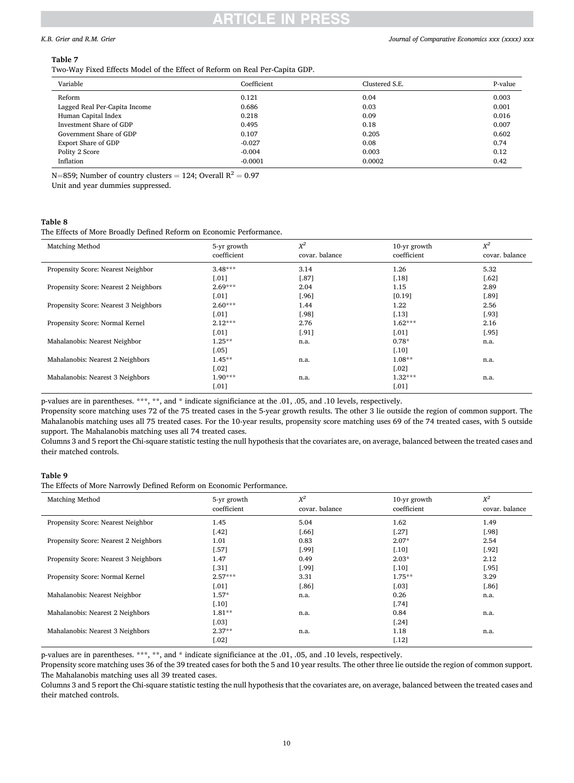#### <span id="page-9-0"></span>**Table 7**

Two-Way Fixed Effects Model of the Effect of Reform on Real Per-Capita GDP.

| Variable                      | Coefficient | Clustered S.E. | P-value |
|-------------------------------|-------------|----------------|---------|
| Reform                        | 0.121       | 0.04           | 0.003   |
| Lagged Real Per-Capita Income | 0.686       | 0.03           | 0.001   |
| Human Capital Index           | 0.218       | 0.09           | 0.016   |
| Investment Share of GDP       | 0.495       | 0.18           | 0.007   |
| Government Share of GDP       | 0.107       | 0.205          | 0.602   |
| Export Share of GDP           | $-0.027$    | 0.08           | 0.74    |
| Polity 2 Score                | $-0.004$    | 0.003          | 0.12    |
| Inflation                     | $-0.0001$   | 0.0002         | 0.42    |
|                               |             |                |         |

N=859; Number of country clusters = 124; Overall  $R^2 = 0.97$ 

Unit and year dummies suppressed.

## **Table 8**

The Effects of More Broadly Defined Reform on Economic Performance.

| Matching Method                       | 5-yr growth<br>coefficient | $X^2$<br>covar. balance | 10-yr growth<br>coefficient | $X^2$<br>covar, balance |
|---------------------------------------|----------------------------|-------------------------|-----------------------------|-------------------------|
| Propensity Score: Nearest Neighbor    | $3.48***$                  | 3.14                    | 1.26                        | 5.32                    |
|                                       | [.01]                      | [.87]                   | [.18]                       | $[.62]$                 |
| Propensity Score: Nearest 2 Neighbors | $2.69***$                  | 2.04                    | 1.15                        | 2.89                    |
|                                       | [.01]                      | [.96]                   | [0.19]                      | $[.89]$                 |
| Propensity Score: Nearest 3 Neighbors | $2.60***$                  | 1.44                    | 1.22                        | 2.56                    |
|                                       | [.01]                      | [.98]                   | [.13]                       | [.93]                   |
| Propensity Score: Normal Kernel       | $2.12***$                  | 2.76                    | $1.62***$                   | 2.16                    |
|                                       | [.01]                      | $[.91]$                 | [.01]                       | [.95]                   |
| Mahalanobis: Nearest Neighbor         | $1.25***$                  | n.a.                    | $0.78*$                     | n.a.                    |
|                                       | [.05]                      |                         | [.10]                       |                         |
| Mahalanobis: Nearest 2 Neighbors      | $1.45***$                  | n.a.                    | $1.08**$                    | n.a.                    |
|                                       | [.02]                      |                         | $\lceil .02 \rceil$         |                         |
| Mahalanobis: Nearest 3 Neighbors      | $1.90***$                  | n.a.                    | $1.32***$                   | n.a.                    |
|                                       | $[.01]$                    |                         | $[.01]$                     |                         |

p-values are in parentheses. \*\*\*, \*\*, and \* indicate significiance at the .01, .05, and .10 levels, respectively.

Propensity score matching uses 72 of the 75 treated cases in the 5-year growth results. The other 3 lie outside the region of common support. The Mahalanobis matching uses all 75 treated cases. For the 10-year results, propensity score matching uses 69 of the 74 treated cases, with 5 outside support. The Mahalanobis matching uses all 74 treated cases.

Columns 3 and 5 report the Chi-square statistic testing the null hypothesis that the covariates are, on average, balanced between the treated cases and their matched controls.

### **Table 9**

The Effects of More Narrowly Defined Reform on Economic Performance.

| Matching Method                       | 5-yr growth<br>coefficient | $X^2$<br>covar. balance | 10-yr growth<br>coefficient | $X^2$<br>covar. balance |
|---------------------------------------|----------------------------|-------------------------|-----------------------------|-------------------------|
| Propensity Score: Nearest Neighbor    | 1.45                       | 5.04                    | 1.62                        | 1.49                    |
|                                       | [.42]                      | $[.66]$                 | [.27]                       | [.98]                   |
| Propensity Score: Nearest 2 Neighbors | 1.01                       | 0.83                    | $2.07*$                     | 2.54                    |
|                                       | [.57]                      | [.99]                   | $[.10]$                     | $[.92]$                 |
| Propensity Score: Nearest 3 Neighbors | 1.47                       | 0.49                    | $2.03*$                     | 2.12                    |
|                                       | [.31]                      | [.99]                   | $[.10]$                     | [.95]                   |
| Propensity Score: Normal Kernel       | $2.57***$                  | 3.31                    | $1.75***$                   | 3.29                    |
|                                       | [.01]                      | $[.86]$                 | [.03]                       | $[.86]$                 |
| Mahalanobis: Nearest Neighbor         | $1.57*$                    | n.a.                    | 0.26                        | n.a.                    |
|                                       | [.10]                      |                         | $[.74]$                     |                         |
| Mahalanobis: Nearest 2 Neighbors      | $1.81**$                   | n.a.                    | 0.84                        | n.a.                    |
|                                       | [.03]                      |                         | $[.24]$                     |                         |
| Mahalanobis: Nearest 3 Neighbors      | $2.37**$                   | n.a.                    | 1.18                        | n.a.                    |
|                                       | [.02]                      |                         | $[.12]$                     |                         |

p-values are in parentheses. \*\*\*, \*\*, and \* indicate significiance at the .01, .05, and .10 levels, respectively.

Propensity score matching uses 36 of the 39 treated cases for both the 5 and 10 year results. The other three lie outside the region of common support. The Mahalanobis matching uses all 39 treated cases.

Columns 3 and 5 report the Chi-square statistic testing the null hypothesis that the covariates are, on average, balanced between the treated cases and their matched controls.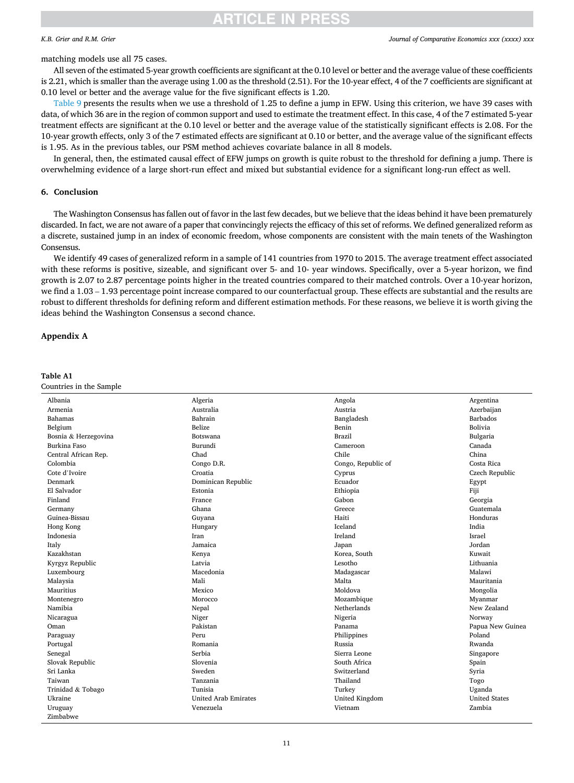#### *Journal of Comparative Economics xxx (xxxx) xxx*

#### <span id="page-10-0"></span>matching models use all 75 cases.

All seven of the estimated 5-year growth coefficients are significant at the 0.10 level or better and the average value of these coefficients is 2.21, which is smaller than the average using 1.00 as the threshold (2.51). For the 10-year effect, 4 of the 7 coefficients are significant at 0.10 level or better and the average value for the five significant effects is 1.20.

[Table 9](#page-9-0) presents the results when we use a threshold of 1.25 to define a jump in EFW. Using this criterion, we have 39 cases with data, of which 36 are in the region of common support and used to estimate the treatment effect. In this case, 4 of the 7 estimated 5-year treatment effects are significant at the 0.10 level or better and the average value of the statistically significant effects is 2.08. For the 10-year growth effects, only 3 of the 7 estimated effects are significant at 0.10 or better, and the average value of the significant effects is 1.95. As in the previous tables, our PSM method achieves covariate balance in all 8 models.

In general, then, the estimated causal effect of EFW jumps on growth is quite robust to the threshold for defining a jump. There is overwhelming evidence of a large short-run effect and mixed but substantial evidence for a significant long-run effect as well.

### **6. Conclusion**

The Washington Consensus has fallen out of favor in the last few decades, but we believe that the ideas behind it have been prematurely discarded. In fact, we are not aware of a paper that convincingly rejects the efficacy of this set of reforms. We defined generalized reform as a discrete, sustained jump in an index of economic freedom, whose components are consistent with the main tenets of the Washington Consensus.

We identify 49 cases of generalized reform in a sample of 141 countries from 1970 to 2015. The average treatment effect associated with these reforms is positive, sizeable, and significant over 5- and 10- year windows. Specifically, over a 5-year horizon, we find growth is 2.07 to 2.87 percentage points higher in the treated countries compared to their matched controls. Over a 10-year horizon, we find a 1.03 – 1.93 percentage point increase compared to our counterfactual group. These effects are substantial and the results are robust to different thresholds for defining reform and different estimation methods. For these reasons, we believe it is worth giving the ideas behind the Washington Consensus a second chance.

#### **Appendix A**

### **Table A1**

#### Countries in the Sample

| Albania              | Algeria                     | Angola             | Argentina            |
|----------------------|-----------------------------|--------------------|----------------------|
| Armenia              | Australia                   | Austria            | Azerbaijan           |
| Bahamas              | Bahrain                     | Bangladesh         | <b>Barbados</b>      |
| Belgium              | Belize                      | Benin              | Bolivia              |
| Bosnia & Herzegovina | <b>Botswana</b>             | <b>Brazil</b>      | Bulgaria             |
| Burkina Faso         | Burundi                     | Cameroon           | Canada               |
| Central African Rep. | Chad                        | Chile              | China                |
| Colombia             | Congo D.R.                  | Congo, Republic of | Costa Rica           |
| Cote d'Ivoire        | Croatia                     | Cyprus             | Czech Republic       |
| Denmark              | Dominican Republic          | Ecuador            | Egypt                |
| El Salvador          | Estonia                     | Ethiopia           | Fiji                 |
| Finland              | France                      | Gabon              | Georgia              |
| Germany              | Ghana                       | Greece             | Guatemala            |
| Guinea-Bissau        | Guyana                      | Haiti              | Honduras             |
| Hong Kong            | Hungary                     | Iceland            | India                |
| Indonesia            | <b>Iran</b>                 | Ireland            | Israel               |
| Italy                | Jamaica                     | Japan              | Jordan               |
| Kazakhstan           | Kenya                       | Korea, South       | Kuwait               |
| Kyrgyz Republic      | Latvia                      | Lesotho            | Lithuania            |
| Luxembourg           | Macedonia                   | Madagascar         | Malawi               |
| Malaysia             | Mali                        | Malta              | Mauritania           |
| Mauritius            | Mexico                      | Moldova            | Mongolia             |
| Montenegro           | Morocco                     | Mozambique         | Myanmar              |
| Namibia              | Nepal                       | Netherlands        | New Zealand          |
| Nicaragua            | Niger                       | Nigeria            | Norway               |
| Oman                 | Pakistan                    | Panama             | Papua New Guinea     |
| Paraguay             | Peru                        | Philippines        | Poland               |
| Portugal             | Romania                     | Russia             | Rwanda               |
| Senegal              | Serbia                      | Sierra Leone       | Singapore            |
| Slovak Republic      | Slovenia                    | South Africa       | Spain                |
| Sri Lanka            | Sweden                      | Switzerland        | Syria                |
| Taiwan               | Tanzania                    | Thailand           | Togo                 |
| Trinidad & Tobago    | Tunisia                     | Turkey             | Uganda               |
| Ukraine              | <b>United Arab Emirates</b> | United Kingdom     | <b>United States</b> |
| Uruguay              | Venezuela                   | Vietnam            | Zambia               |
| Zimbabwe             |                             |                    |                      |
|                      |                             |                    |                      |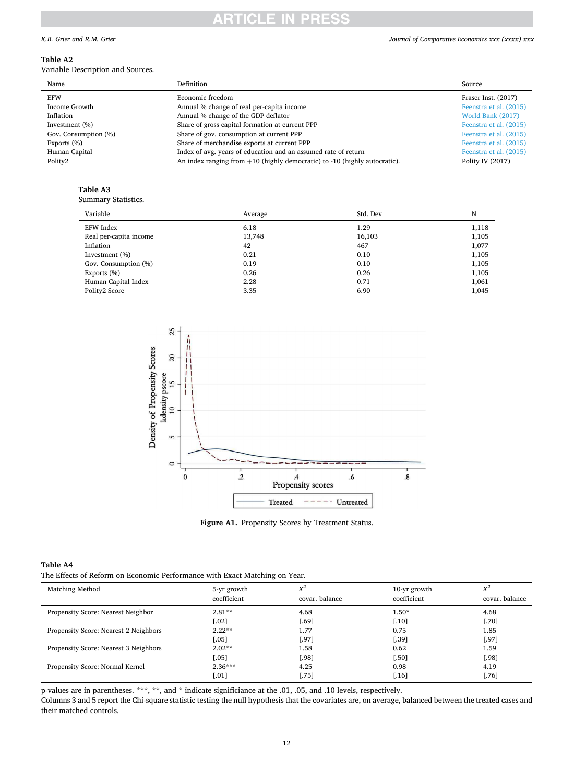#### <span id="page-11-0"></span>**Table A2**

Variable Description and Sources.

| Name                 | Definition                                                                    | Source                 |
|----------------------|-------------------------------------------------------------------------------|------------------------|
| <b>FFW</b>           | Economic freedom                                                              | Fraser Inst. (2017)    |
| Income Growth        | Annual % change of real per-capita income                                     | Feenstra et al. (2015) |
| Inflation            | Annual % change of the GDP deflator                                           | World Bank (2017)      |
| Investment $(\%)$    | Share of gross capital formation at current PPP                               | Feenstra et al. (2015) |
| Gov. Consumption (%) | Share of gov. consumption at current PPP                                      | Feenstra et al. (2015) |
| Exports (%)          | Share of merchandise exports at current PPP                                   | Feenstra et al. (2015) |
| Human Capital        | Index of avg. years of education and an assumed rate of return                | Feenstra et al. (2015) |
| Polity2              | An index ranging from $+10$ (highly democratic) to $-10$ (highly autocratic). | Polity IV (2017)       |

## **Table A3**

Summary Statistics.

| Variable               | Average | Std. Dev | N     |
|------------------------|---------|----------|-------|
| EFW Index              | 6.18    | 1.29     | 1,118 |
| Real per-capita income | 13,748  | 16,103   | 1,105 |
| Inflation              | 42      | 467      | 1,077 |
| Investment $(\%)$      | 0.21    | 0.10     | 1,105 |
| Gov. Consumption (%)   | 0.19    | 0.10     | 1,105 |
| Exports (%)            | 0.26    | 0.26     | 1,105 |
| Human Capital Index    | 2.28    | 0.71     | 1,061 |
| Polity2 Score          | 3.35    | 6.90     | 1,045 |



Figure A1. Propensity Scores by Treatment Status.

| Table A4                                                                   |
|----------------------------------------------------------------------------|
| The Effects of Reform on Economic Performance with Exact Matching on Year. |

| Matching Method                       | 5-yr growth<br>coefficient | $X^2$<br>covar. balance | 10-yr growth<br>coefficient | $X^2$<br>covar. balance |
|---------------------------------------|----------------------------|-------------------------|-----------------------------|-------------------------|
| Propensity Score: Nearest Neighbor    | $2.81**$                   | 4.68                    | $1.50*$                     | 4.68                    |
|                                       | [.02]                      | [.69]                   | $[.10]$                     | [.70]                   |
| Propensity Score: Nearest 2 Neighbors | $2.22**$                   | 1.77                    | 0.75                        | 1.85                    |
|                                       | [.05]                      | [.97]                   | [.39]                       | [.97]                   |
| Propensity Score: Nearest 3 Neighbors | $2.02**$                   | 1.58                    | 0.62                        | 1.59                    |
|                                       | [.05]                      | [.98]                   | $[.50]$                     | [.98]                   |
| Propensity Score: Normal Kernel       | $2.36***$                  | 4.25                    | 0.98                        | 4.19                    |
|                                       | [.01]                      | [.75]                   | [.16]                       | $[.76]$                 |

p-values are in parentheses. \*\*\*, \*\*, and \* indicate significiance at the .01, .05, and .10 levels, respectively.

Columns 3 and 5 report the Chi-square statistic testing the null hypothesis that the covariates are, on average, balanced between the treated cases and their matched controls.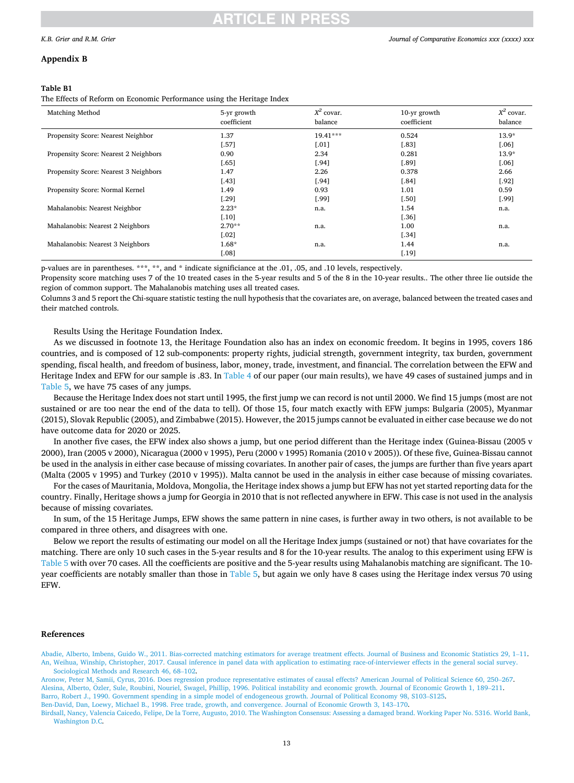#### <span id="page-12-0"></span>**Appendix B**

#### **Table B1**

The Effects of Reform on Economic Performance using the Heritage Index

| Matching Method                       | 5-yr growth<br>coefficient | $X^2$ covar.<br>balance | 10-yr growth<br>coefficient | $X^2$ covar.<br>balance |
|---------------------------------------|----------------------------|-------------------------|-----------------------------|-------------------------|
| Propensity Score: Nearest Neighbor    | 1.37                       | $19.41***$              | 0.524                       | $13.9*$                 |
|                                       | [.57]                      | [.01]                   | [.83]                       | [.06]                   |
| Propensity Score: Nearest 2 Neighbors | 0.90                       | 2.34                    | 0.281                       | $13.9*$                 |
|                                       | [.65]                      | [.94]                   | [.89]                       | [.06]                   |
| Propensity Score: Nearest 3 Neighbors | 1.47                       | 2.26                    | 0.378                       | 2.66                    |
|                                       | [.43]                      | [.94]                   | [.84]                       | $[.92]$                 |
| Propensity Score: Normal Kernel       | 1.49                       | 0.93                    | 1.01                        | 0.59                    |
|                                       | [.29]                      | [.99]                   | [.50]                       | $[.99]$                 |
| Mahalanobis: Nearest Neighbor         | $2.23*$                    | n.a.                    | 1.54                        | n.a.                    |
|                                       | $[.10]$                    |                         | [.36]                       |                         |
| Mahalanobis: Nearest 2 Neighbors      | $2.70**$                   | n.a.                    | 1.00                        | n.a.                    |
|                                       | [.02]                      |                         | [.34]                       |                         |
| Mahalanobis: Nearest 3 Neighbors      | $1.68*$                    | n.a.                    | 1.44                        | n.a.                    |
|                                       | [.08]                      |                         | [.19]                       |                         |

p-values are in parentheses. \*\*\*, \*\*, and \* indicate significiance at the .01, .05, and .10 levels, respectively.

Propensity score matching uses 7 of the 10 treated cases in the 5-year results and 5 of the 8 in the 10-year results.. The other three lie outside the region of common support. The Mahalanobis matching uses all treated cases.

Columns 3 and 5 report the Chi-square statistic testing the null hypothesis that the covariates are, on average, balanced between the treated cases and their matched controls.

Results Using the Heritage Foundation Index.

As we discussed in footnote 13, the Heritage Foundation also has an index on economic freedom. It begins in 1995, covers 186 countries, and is composed of 12 sub-components: property rights, judicial strength, government integrity, tax burden, government spending, fiscal health, and freedom of business, labor, money, trade, investment, and financial. The correlation between the EFW and Heritage Index and EFW for our sample is .83. In [Table 4](#page-7-0) of our paper (our main results), we have 49 cases of sustained jumps and in [Table 5](#page-8-0), we have 75 cases of any jumps.

Because the Heritage Index does not start until 1995, the first jump we can record is not until 2000. We find 15 jumps (most are not sustained or are too near the end of the data to tell). Of those 15, four match exactly with EFW jumps: Bulgaria (2005), Myanmar (2015), Slovak Republic (2005), and Zimbabwe (2015). However, the 2015 jumps cannot be evaluated in either case because we do not have outcome data for 2020 or 2025.

In another five cases, the EFW index also shows a jump, but one period different than the Heritage index (Guinea-Bissau (2005 v 2000), Iran (2005 v 2000), Nicaragua (2000 v 1995), Peru (2000 v 1995) Romania (2010 v 2005)). Of these five, Guinea-Bissau cannot be used in the analysis in either case because of missing covariates. In another pair of cases, the jumps are further than five years apart (Malta (2005 v 1995) and Turkey (2010 v 1995)). Malta cannot be used in the analysis in either case because of missing covariates.

For the cases of Mauritania, Moldova, Mongolia, the Heritage index shows a jump but EFW has not yet started reporting data for the country. Finally, Heritage shows a jump for Georgia in 2010 that is not reflected anywhere in EFW. This case is not used in the analysis because of missing covariates.

In sum, of the 15 Heritage Jumps, EFW shows the same pattern in nine cases, is further away in two others, is not available to be compared in three others, and disagrees with one.

Below we report the results of estimating our model on all the Heritage Index jumps (sustained or not) that have covariates for the matching. There are only 10 such cases in the 5-year results and 8 for the 10-year results. The analog to this experiment using EFW is [Table 5](#page-8-0) with over 70 cases. All the coefficients are positive and the 5-year results using Mahalanobis matching are significant. The 10- year coefficients are notably smaller than those in [Table 5,](#page-8-0) but again we only have 8 cases using the Heritage index versus 70 using EFW.

### **References**

[Ben-David, Dan, Loewy, Michael B., 1998. Free trade, growth, and convergence. Journal of Economic Growth 3, 143](http://refhub.elsevier.com/S0147-5967(20)30063-9/sbref0006)–170.

[Birdsall, Nancy, Valencia Caicedo, Felipe, De la Torre, Augusto, 2010. The Washington Consensus: Assessing a damaged brand. Working Paper No. 5316. World Bank,](http://refhub.elsevier.com/S0147-5967(20)30063-9/sbref0007)

[Washington D.C.](http://refhub.elsevier.com/S0147-5967(20)30063-9/sbref0007)

[Abadie, Alberto, Imbens, Guido W., 2011. Bias-corrected matching estimators for average treatment effects. Journal of Business and Economic Statistics 29, 1](http://refhub.elsevier.com/S0147-5967(20)30063-9/sbref0001)–11. [An, Weihua, Winship, Christopher, 2017. Causal inference in panel data with application to estimating race-of-interviewer effects in the general social survey.](http://refhub.elsevier.com/S0147-5967(20)30063-9/sbref0002) [Sociological Methods and Research 46, 68](http://refhub.elsevier.com/S0147-5967(20)30063-9/sbref0002)–102.

[Aronow, Peter M, Samii, Cyrus, 2016. Does regression produce representative estimates of causal effects? American Journal of Political Science 60, 250](http://refhub.elsevier.com/S0147-5967(20)30063-9/sbref0003)–267. Alesina, Alberto, Özler, Sule, Roubini, Nouriel, Swagel, Phillip, 1996. Political instability and economic growth. Journal of Economic Growth 1, 189-211. [Barro, Robert J., 1990. Government spending in a simple model of endogeneous growth. Journal of Political Economy 98, S103](http://refhub.elsevier.com/S0147-5967(20)30063-9/sbref0005)–S125.